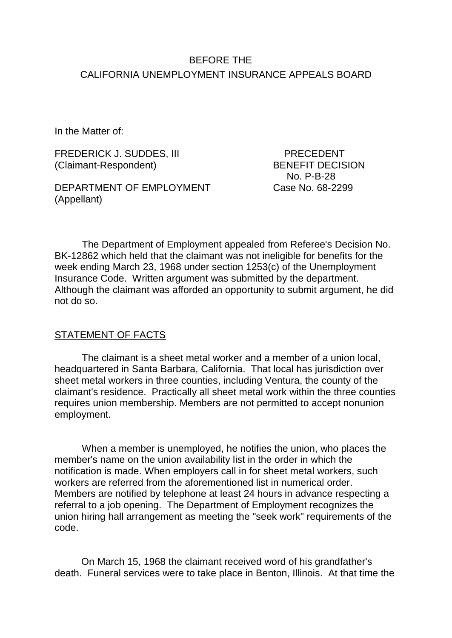# BEFORE THE CALIFORNIA UNEMPLOYMENT INSURANCE APPEALS BOARD

In the Matter of:

FREDERICK J. SUDDES, III PRECEDENT (Claimant-Respondent) BENEFIT DECISION

DEPARTMENT OF EMPLOYMENT (Appellant)

No. P-B-28<br>Case No. 68-2299

The Department of Employment appealed from Referee's Decision No. BK-12862 which held that the claimant was not ineligible for benefits for the week ending March 23, 1968 under section 1253(c) of the Unemployment Insurance Code. Written argument was submitted by the department. Although the claimant was afforded an opportunity to submit argument, he did not do so.

### STATEMENT OF FACTS

The claimant is a sheet metal worker and a member of a union local, headquartered in Santa Barbara, California. That local has jurisdiction over sheet metal workers in three counties, including Ventura, the county of the claimant's residence. Practically all sheet metal work within the three counties requires union membership. Members are not permitted to accept nonunion employment.

When a member is unemployed, he notifies the union, who places the member's name on the union availability list in the order in which the notification is made. When employers call in for sheet metal workers, such workers are referred from the aforementioned list in numerical order. Members are notified by telephone at least 24 hours in advance respecting a referral to a job opening. The Department of Employment recognizes the union hiring hall arrangement as meeting the "seek work" requirements of the code.

On March 15, 1968 the claimant received word of his grandfather's death. Funeral services were to take place in Benton, Illinois. At that time the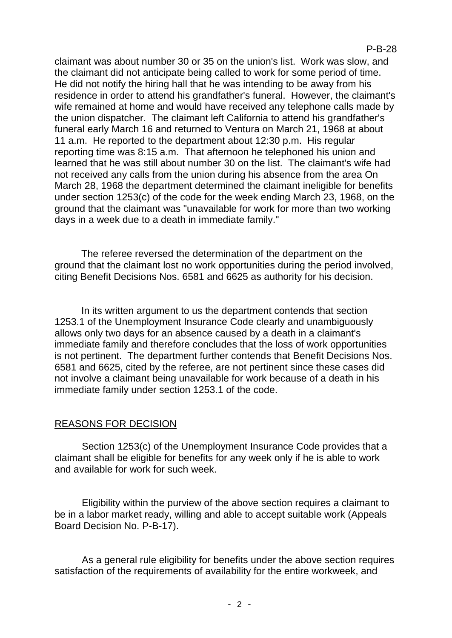claimant was about number 30 or 35 on the union's list. Work was slow, and the claimant did not anticipate being called to work for some period of time. He did not notify the hiring hall that he was intending to be away from his residence in order to attend his grandfather's funeral. However, the claimant's wife remained at home and would have received any telephone calls made by the union dispatcher. The claimant left California to attend his grandfather's funeral early March 16 and returned to Ventura on March 21, 1968 at about 11 a.m. He reported to the department about 12:30 p.m. His regular reporting time was 8:15 a.m. That afternoon he telephoned his union and learned that he was still about number 30 on the list. The claimant's wife had not received any calls from the union during his absence from the area On March 28, 1968 the department determined the claimant ineligible for benefits under section 1253(c) of the code for the week ending March 23, 1968, on the ground that the claimant was "unavailable for work for more than two working days in a week due to a death in immediate family."

The referee reversed the determination of the department on the ground that the claimant lost no work opportunities during the period involved, citing Benefit Decisions Nos. 6581 and 6625 as authority for his decision.

In its written argument to us the department contends that section 1253.1 of the Unemployment Insurance Code clearly and unambiguously allows only two days for an absence caused by a death in a claimant's immediate family and therefore concludes that the loss of work opportunities is not pertinent. The department further contends that Benefit Decisions Nos. 6581 and 6625, cited by the referee, are not pertinent since these cases did not involve a claimant being unavailable for work because of a death in his immediate family under section 1253.1 of the code.

#### REASONS FOR DECISION

Section 1253(c) of the Unemployment Insurance Code provides that a claimant shall be eligible for benefits for any week only if he is able to work and available for work for such week.

Eligibility within the purview of the above section requires a claimant to be in a labor market ready, willing and able to accept suitable work (Appeals Board Decision No. P-B-17).

As a general rule eligibility for benefits under the above section requires satisfaction of the requirements of availability for the entire workweek, and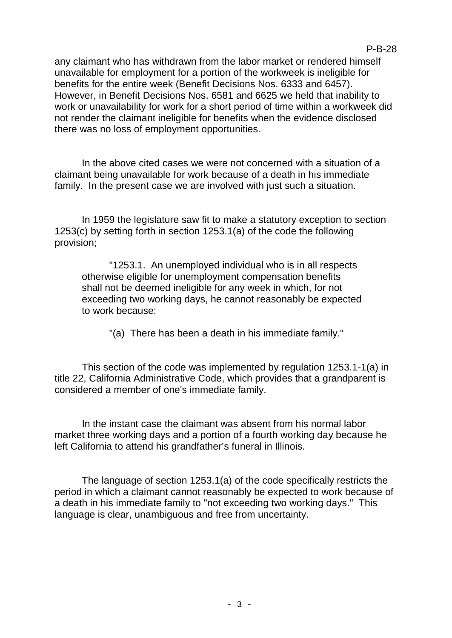P-B-28

In the above cited cases we were not concerned with a situation of a claimant being unavailable for work because of a death in his immediate family. In the present case we are involved with just such a situation.

there was no loss of employment opportunities.

In 1959 the legislature saw fit to make a statutory exception to section 1253(c) by setting forth in section 1253.1(a) of the code the following provision;

"1253.1. An unemployed individual who is in all respects otherwise eligible for unemployment compensation benefits shall not be deemed ineligible for any week in which, for not exceeding two working days, he cannot reasonably be expected to work because:

"(a) There has been a death in his immediate family."

This section of the code was implemented by regulation 1253.1-1(a) in title 22, California Administrative Code, which provides that a grandparent is considered a member of one's immediate family.

In the instant case the claimant was absent from his normal labor market three working days and a portion of a fourth working day because he left California to attend his grandfather's funeral in Illinois.

The language of section 1253.1(a) of the code specifically restricts the period in which a claimant cannot reasonably be expected to work because of a death in his immediate family to "not exceeding two working days." This language is clear, unambiguous and free from uncertainty.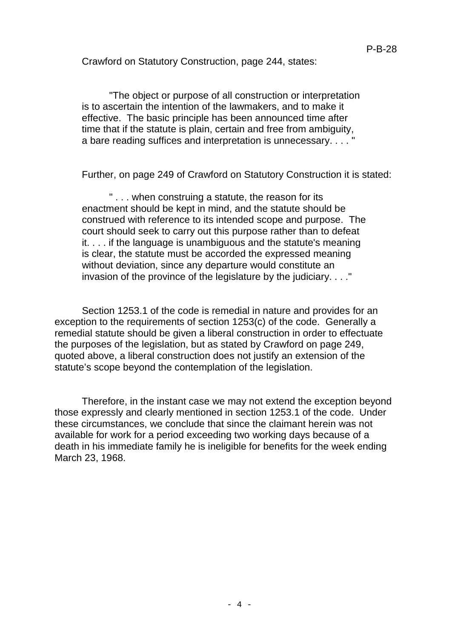Crawford on Statutory Construction, page 244, states:

"The object or purpose of all construction or interpretation is to ascertain the intention of the lawmakers, and to make it effective. The basic principle has been announced time after time that if the statute is plain, certain and free from ambiguity, a bare reading suffices and interpretation is unnecessary.  $\ldots$ 

Further, on page 249 of Crawford on Statutory Construction it is stated:

" . . . when construing a statute, the reason for its enactment should be kept in mind, and the statute should be construed with reference to its intended scope and purpose. The court should seek to carry out this purpose rather than to defeat it. . . . if the language is unambiguous and the statute's meaning is clear, the statute must be accorded the expressed meaning without deviation, since any departure would constitute an invasion of the province of the legislature by the judiciary. . . ."

Section 1253.1 of the code is remedial in nature and provides for an exception to the requirements of section 1253(c) of the code. Generally a remedial statute should be given a liberal construction in order to effectuate the purposes of the legislation, but as stated by Crawford on page 249, quoted above, a liberal construction does not justify an extension of the statute's scope beyond the contemplation of the legislation.

Therefore, in the instant case we may not extend the exception beyond those expressly and clearly mentioned in section 1253.1 of the code. Under these circumstances, we conclude that since the claimant herein was not available for work for a period exceeding two working days because of a death in his immediate family he is ineligible for benefits for the week ending March 23, 1968.